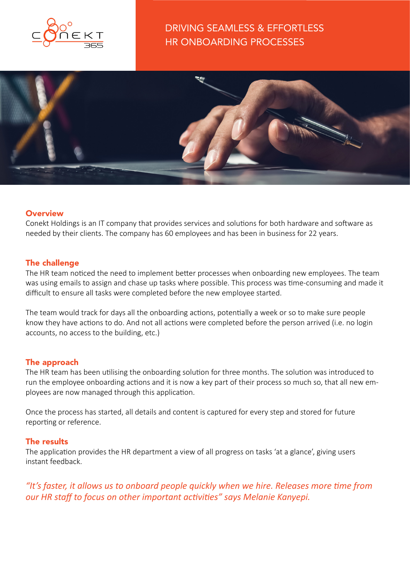



# **Overview**

Conekt Holdings is an IT company that provides services and solutions for both hardware and software as needed by their clients. The company has 60 employees and has been in business for 22 years.

# The challenge

The HR team noticed the need to implement better processes when onboarding new employees. The team was using emails to assign and chase up tasks where possible. This process was time-consuming and made it difficult to ensure all tasks were completed before the new employee started.

The team would track for days all the onboarding actions, potentially a week or so to make sure people know they have actions to do. And not all actions were completed before the person arrived (i.e. no login accounts, no access to the building, etc.)

# The approach

The HR team has been utilising the onboarding solution for three months. The solution was introduced to run the employee onboarding actions and it is now a key part of their process so much so, that all new employees are now managed through this application.

Once the process has started, all details and content is captured for every step and stored for future reporting or reference.

# The results

The application provides the HR department a view of all progress on tasks 'at a glance', giving users instant feedback.

*"It's faster, it allows us to onboard people quickly when we hire. Releases more time from our HR staff to focus on other important activities" says Melanie Kanyepi.*